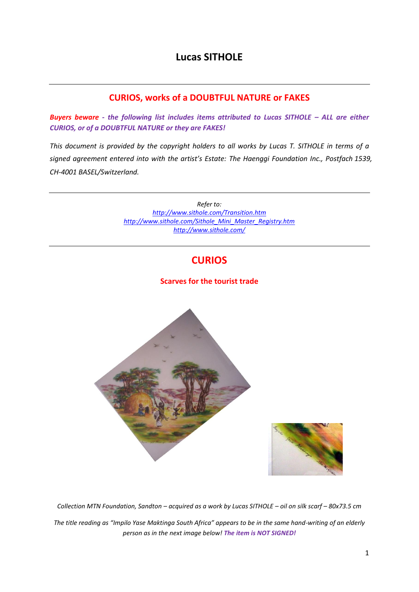# **Lucas SITHOLE**

### **CURIOS, works of a DOUBTFUL NATURE or FAKES**

**Buyers beware** - the following list includes items attributed to Lucas SITHOLE - ALL are either *CURIOS, or of a DOUBTFUL NATURE or they are FAKES!* 

*This document is provided by the copyright holders to all works by Lucas T. SITHOLE in terms of a signed agreement entered into with the artist's Estate: The Haenggi Foundation Inc., Postfach 1539, CH-4001 BASEL/Switzerland.* 

> *Refer to: <http://www.sithole.com/Transition.htm> [http://www.sithole.com/Sithole\\_Mini\\_Master\\_Registry.htm](http://www.sithole.com/Sithole_Mini_Master_Registry.htm) <http://www.sithole.com/>*

# **CURIOS**

#### **Scarves for the tourist trade**



*Collection MTN Foundation, Sandton – acquired as a work by Lucas SITHOLE – oil on silk scarf – 80x73.5 cm The title reading as "Impilo Yase Maktinga South Africa" appears to be in the same hand-writing of an elderly person as in the next image below! The item is NOT SIGNED!*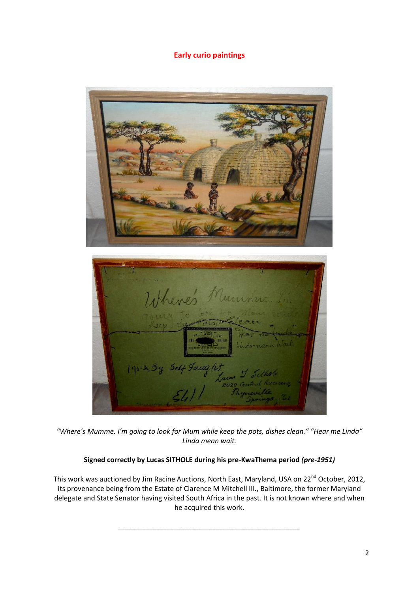### **Early curio paintings**



*"Where's Mumme. I'm going to look for Mum while keep the pots, dishes clean." "Hear me Linda" Linda mean wait.*

#### **Signed correctly by Lucas SITHOLE during his pre-KwaThema period** *(pre-1951)*

This work was auctioned by Jim Racine Auctions, North East, Maryland, USA on 22<sup>nd</sup> October, 2012, its provenance being from the Estate of Clarence M Mitchell III., Baltimore, the former Maryland delegate and State Senator having visited South Africa in the past. It is not known where and when he acquired this work.

*\_\_\_\_\_\_\_\_\_\_\_\_\_\_\_\_\_\_\_\_\_\_\_\_\_\_\_\_\_\_\_\_\_\_\_\_\_\_\_\_\_\_\_\_\_\_\_\_\_\_\_\_*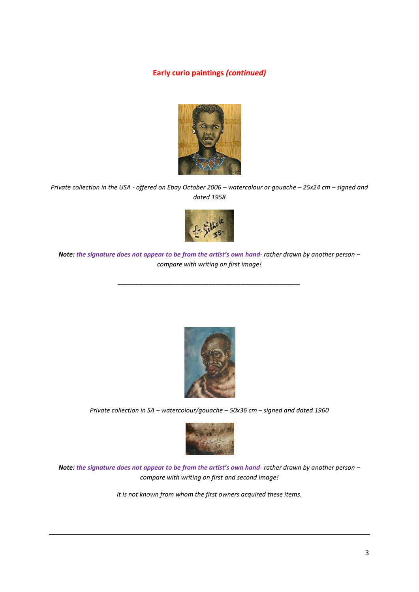#### **Early curio paintings** *(continued)*



*Private collection in the USA - offered on Ebay October 2006 – watercolour or gouache – 25x24 cm – signed and dated 1958* 



*Note: the signature does not appear to be from the artist's own hand- rather drawn by another person – compare with writing on first image!* 

*\_\_\_\_\_\_\_\_\_\_\_\_\_\_\_\_\_\_\_\_\_\_\_\_\_\_\_\_\_\_\_\_\_\_\_\_\_\_\_\_\_\_\_\_\_\_\_\_\_\_\_\_* 



*Private collection in SA – watercolour/gouache – 50x36 cm – signed and dated 1960* 



*Note: the signature does not appear to be from the artist's own hand- rather drawn by another person – compare with writing on first and second image!* 

*It is not known from whom the first owners acquired these items.*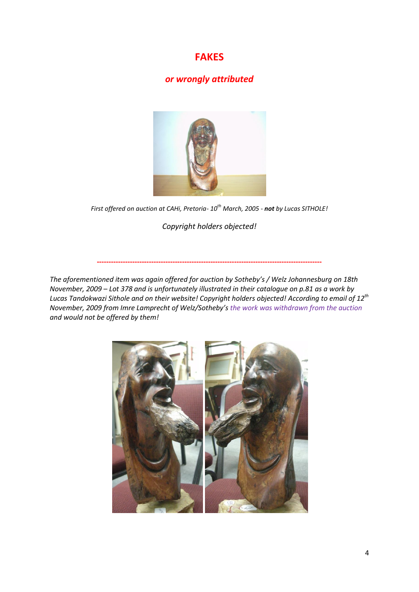## **FAKES**

### *or wrongly attributed*



*First offered on auction at CAHi, Pretoria- 10th March, 2005 - not by Lucas SITHOLE!* 

*Copyright holders objected!* 

*The aforementioned item was again offered for auction by Sotheby's / Welz Johannesburg on 18th November, 2009 – Lot 378 and is unfortunately illustrated in their catalogue on p.81 as a work by Lucas Tandokwazi Sithole and on their website! Copyright holders objected! According to email of 12th November, 2009 from Imre Lamprecht of Welz/Sotheby's the work was withdrawn from the auction and would not be offered by them!*

**-----------------------------------------------------------------------------------------------**

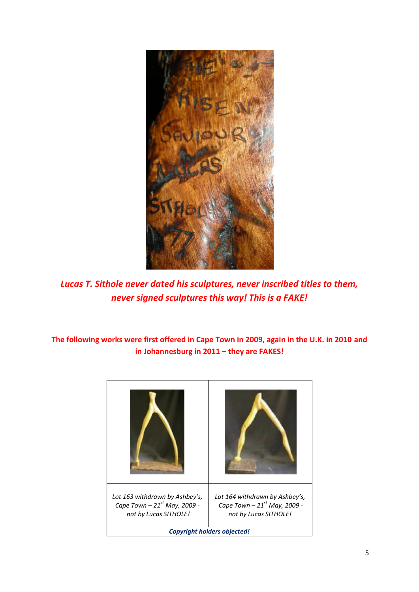

*Lucas T. Sithole never dated his sculptures, never inscribed titles to them, never signed sculptures this way! This is a FAKE!* 

### **The following works were first offered in Cape Town in 2009, again in the U.K. in 2010 and in Johannesburg in 2011 – they are FAKES!**

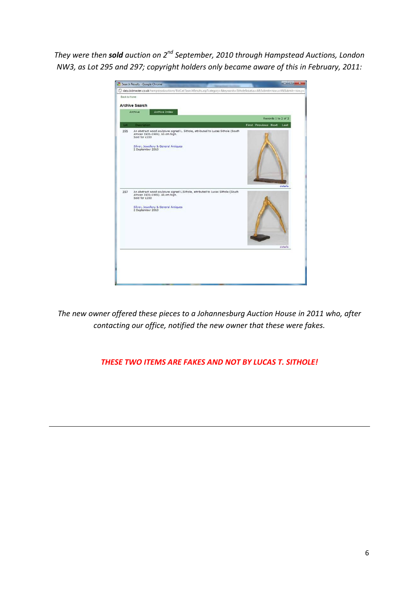*They were then sold auction on 2nd September, 2010 through Hampstead Auctions, London NW3, as Lot 295 and 297; copyright holders only became aware of this in February, 2011:* 



*The new owner offered these pieces to a Johannesburg Auction House in 2011 who, after contacting our office, notified the new owner that these were fakes.* 

*THESE TWO ITEMS ARE FAKES AND NOT BY LUCAS T. SITHOLE!*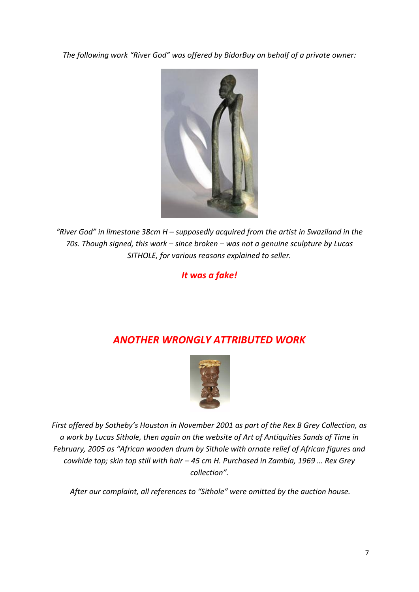*The following work "River God" was offered by BidorBuy on behalf of a private owner:* 



*"River God" in limestone 38cm H – supposedly acquired from the artist in Swaziland in the 70s. Though signed, this work – since broken – was not a genuine sculpture by Lucas SITHOLE, for various reasons explained to seller.* 

*It was a fake!* 

# *ANOTHER WRONGLY ATTRIBUTED WORK*



*First offered by Sotheby's Houston in November 2001 as part of the Rex B Grey Collection, as a work by Lucas Sithole, then again on the website of Art of Antiquities Sands of Time in February, 2005 as "African wooden drum by Sithole with ornate relief of African figures and cowhide top; skin top still with hair – 45 cm H. Purchased in Zambia, 1969 … Rex Grey collection".* 

*After our complaint, all references to "Sithole" were omitted by the auction house.*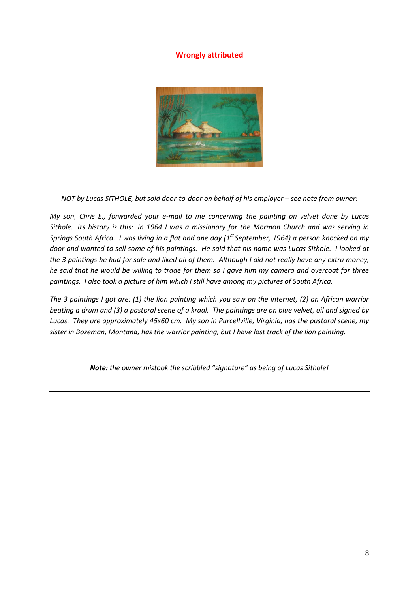#### **Wrongly attributed**



*NOT by Lucas SITHOLE, but sold door-to-door on behalf of his employer – see note from owner:* 

*My son, Chris E., forwarded your e-mail to me concerning the painting on velvet done by Lucas Sithole. Its history is this: In 1964 I was a missionary for the Mormon Church and was serving in Springs South Africa. I was living in a flat and one day (1st September, 1964) a person knocked on my door and wanted to sell some of his paintings. He said that his name was Lucas Sithole. I looked at the 3 paintings he had for sale and liked all of them. Although I did not really have any extra money, he said that he would be willing to trade for them so I gave him my camera and overcoat for three paintings. I also took a picture of him which I still have among my pictures of South Africa.* 

*The 3 paintings I got are: (1) the lion painting which you saw on the internet, (2) an African warrior beating a drum and (3) a pastoral scene of a kraal. The paintings are on blue velvet, oil and signed by Lucas. They are approximately 45x60 cm. My son in Purcellville, Virginia, has the pastoral scene, my sister in Bozeman, Montana, has the warrior painting, but I have lost track of the lion painting.* 

*Note: the owner mistook the scribbled "signature" as being of Lucas Sithole!*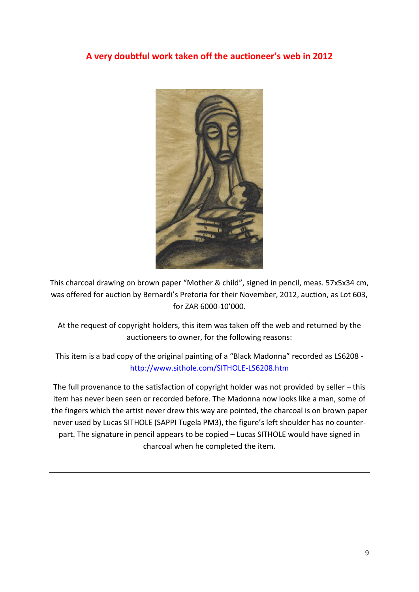# **A very doubtful work taken off the auctioneer's web in 2012**



This charcoal drawing on brown paper "Mother & child", signed in pencil, meas. 57x5x34 cm, was offered for auction by Bernardi's Pretoria for their November, 2012, auction, as Lot 603, for ZAR 6000-10'000.

At the request of copyright holders, this item was taken off the web and returned by the auctioneers to owner, for the following reasons:

This item is a bad copy of the original painting of a "Black Madonna" recorded as LS6208 <http://www.sithole.com/SITHOLE-LS6208.htm>

The full provenance to the satisfaction of copyright holder was not provided by seller – this item has never been seen or recorded before. The Madonna now looks like a man, some of the fingers which the artist never drew this way are pointed, the charcoal is on brown paper never used by Lucas SITHOLE (SAPPI Tugela PM3), the figure's left shoulder has no counterpart. The signature in pencil appears to be copied – Lucas SITHOLE would have signed in charcoal when he completed the item.